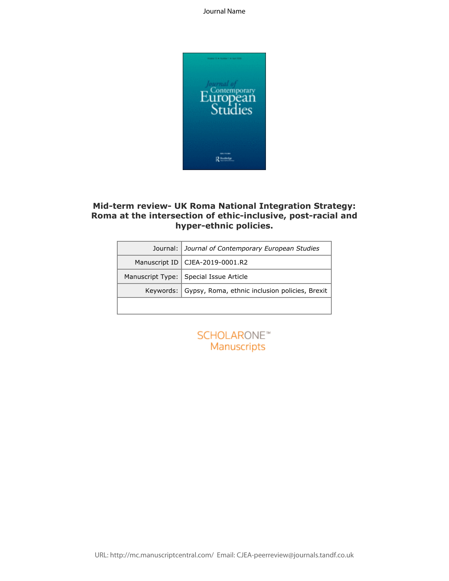

# **Mid-term review- UK Roma National Integration Strategy: Roma at the intersection of ethic-inclusive, post-racial and hyper-ethnic policies.**

|                  | 2 footbodge<br>erm review- UK Roma National Integration Stra                 |
|------------------|------------------------------------------------------------------------------|
|                  | at the intersection of ethic-inclusive, post-racia<br>hyper-ethnic policies. |
| Journal:         | Journal of Contemporary European Studies                                     |
| Manuscript ID    | CJEA-2019-0001.R2                                                            |
| Manuscript Type: | Special Issue Article                                                        |
| Keywords:        | Gypsy, Roma, ethnic inclusion policies, Brexit                               |
|                  |                                                                              |
|                  | SCHOLARONE <sup>*</sup><br><b>Manuscripts</b>                                |
|                  |                                                                              |

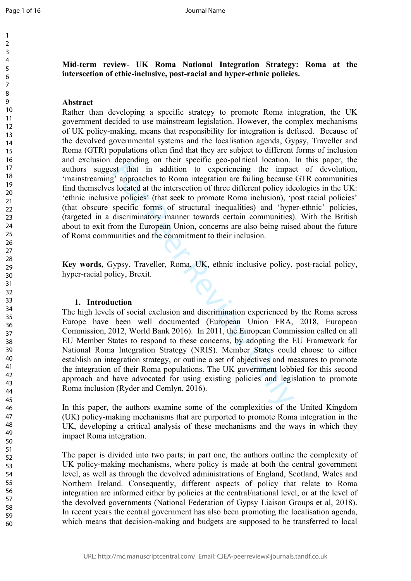**Mid-term review- UK Roma National Integration Strategy: Roma at the intersection of ethic-inclusive, post-racial and hyper-ethnic policies.** 

### **Abstract**

 government decided to use mainstream legislation. However, the complex mechanisms 'mainstreaming' approaches to Roma integration are failing because GTR communities find themselves located at the intersection of three different policy ideologies in the UK: about to exit from the European Union, concerns are also being raised about the future Rather than developing a specific strategy to promote Roma integration, the UK of UK policy-making, means that responsibility for integration is defused. Because of the devolved governmental systems and the localisation agenda, Gypsy, Traveller and Roma (GTR) populations often find that they are subject to different forms of inclusion and exclusion depending on their specific geo-political location. In this paper, the authors suggest that in addition to experiencing the impact of devolution, 'ethnic inclusive policies' (that seek to promote Roma inclusion), 'post racial policies' (that obscure specific forms of structural inequalities) and 'hyper-ethnic' policies, (targeted in a discriminatory manner towards certain communities). With the British of Roma communities and the commitment to their inclusion.

**Key words,** Gypsy, Traveller, Roma, UK, ethnic inclusive policy, post-racial policy, hyper-racial policy, Brexit.

#### **1. Introduction**

 establish an integration strategy, or outline a set of objectives and measures to promote ster that in addition to experiencing the impactuation.<br>
External form an experiencing the impactive process located at the intersection of three different policy ide<br>
y' approaches to Roma integration are failing because<br> The high levels of social exclusion and discrimination experienced by the Roma across Europe have been well documented (European Union FRA, 2018, European Commission, 2012, World Bank 2016). In 2011, the European Commission called on all EU Member States to respond to these concerns, by adopting the EU Framework for National Roma Integration Strategy (NRIS). Member States could choose to either the integration of their Roma populations. The UK government lobbied for this second approach and have advocated for using existing policies and legislation to promote Roma inclusion (Ryder and Cemlyn, 2016).

In this paper, the authors examine some of the complexities of the United Kingdom (UK) policy-making mechanisms that are purported to promote Roma integration in the UK, developing a critical analysis of these mechanisms and the ways in which they impact Roma integration.

The paper is divided into two parts; in part one, the authors outline the complexity of UK policy-making mechanisms, where policy is made at both the central government level, as well as through the devolved administrations of England, Scotland, Wales and Northern Ireland. Consequently, different aspects of policy that relate to Roma integration are informed either by policies at the central/national level, or at the level of the devolved governments (National Federation of Gypsy Liaison Groups et al, 2018). In recent years the central government has also been promoting the localisation agenda, which means that decision-making and budgets are supposed to be transferred to local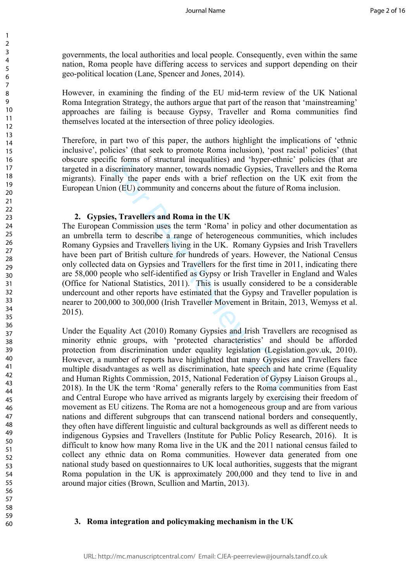nation, Roma people have differing access to services and support depending on their governments, the local authorities and local people. Consequently, even within the same geo-political location (Lane, Spencer and Jones, 2014).

However, in examining the finding of the EU mid-term review of the UK National Roma Integration Strategy, the authors argue that part of the reason that 'mainstreaming' approaches are failing is because Gypsy, Traveller and Roma communities find themselves located at the intersection of three policy ideologies.

Therefore, in part two of this paper, the authors highlight the implications of 'ethnic inclusive', policies' (that seek to promote Roma inclusion), 'post racial' policies' (that obscure specific forms of structural inequalities) and 'hyper-ethnic' policies (that are targeted in a discriminatory manner, towards nomadic Gypsies, Travellers and the Roma migrants). Finally the paper ends with a brief reflection on the UK exit from the European Union (EU) community and concerns about the future of Roma inclusion.

## **2. Gypsies, Travellers and Roma in the UK**

 an umbrella term to describe a range of heterogeneous communities, which includes Romany Gypsies and Travellers living in the UK. Romany Gypsies and Irish Travellers Forms of statedari inequatines, and "apply canner"<br>seriminatory manner, towards nomadic Gypsies, Trave<br>ally the paper ends with a brief reflection on the<br>n (EU) community and concerns about the future of Rc<br>K, s, Traveller The European Commission uses the term 'Roma' in policy and other documentation as have been part of British culture for hundreds of years. However, the National Census only collected data on Gypsies and Travellers for the first time in 2011, indicating there are 58,000 people who self-identified as Gypsy or Irish Traveller in England and Wales (Office for National Statistics, 2011). This is usually considered to be a considerable undercount and other reports have estimated that the Gypsy and Traveller population is nearer to 200,000 to 300,000 (Irish Traveller Movement in Britain, 2013, Wemyss et al. 2015).

 multiple disadvantages as well as discrimination, hate speech and hate crime (Equality Under the Equality Act (2010) Romany Gypsies and Irish Travellers are recognised as minority ethnic groups, with 'protected characteristics' and should be afforded protection from discrimination under equality legislation (Legislation.gov.uk, 2010). However, a number of reports have highlighted that many Gypsies and Travellers face and Human Rights Commission, 2015, National Federation of Gypsy Liaison Groups al., 2018). In the UK the term 'Roma' generally refers to the Roma communities from East and Central Europe who have arrived as migrants largely by exercising their freedom of movement as EU citizens. The Roma are not a homogeneous group and are from various nations and different subgroups that can transcend national borders and consequently, they often have different linguistic and cultural backgrounds as well as different needs to indigenous Gypsies and Travellers (Institute for Public Policy Research, 2016). It is difficult to know how many Roma live in the UK and the 2011 national census failed to collect any ethnic data on Roma communities. However data generated from one national study based on questionnaires to UK local authorities, suggests that the migrant Roma population in the UK is approximately 200,000 and they tend to live in and around major cities (Brown, Scullion and Martin, 2013).

#### **3. Roma integration and policymaking mechanism in the UK**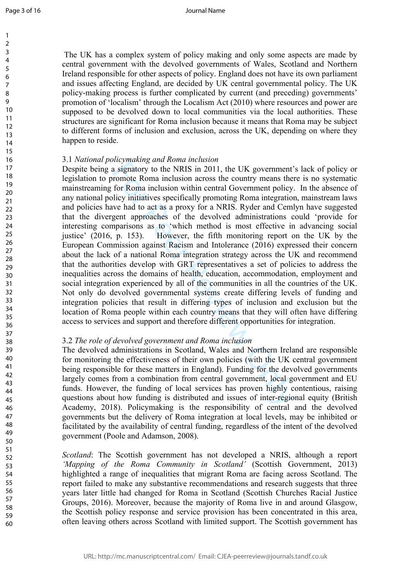The UK has a complex system of policy making and only some aspects are made by central government with the devolved governments of Wales, Scotland and Northern Ireland responsible for other aspects of policy. England does not have its own parliament and issues affecting England, are decided by UK central governmental policy. The UK policy-making process is further complicated by current (and preceding) governments' promotion of 'localism' through the Localism Act (2010) where resources and power are supposed to be devolved down to local communities via the local authorities. These structures are significant for Roma inclusion because it means that Roma may be subject to different forms of inclusion and exclusion, across the UK, depending on where they happen to reside.

## 3.1 *National policymaking and Roma inclusion*

 and policies have had to act as a proxy for a NRIS. Ryder and Cemlyn have suggested that the divergent approaches of the devolved administrations could 'provide for inequalities across the domains of health, education, accommodation, employment and *n* signatory to the NRIS in 2011, the UK government'<br>a signatory to the NRIS in 2011, the UK government'<br>romote Roma inclusion across the country means the<br>for Roma inclusion within central Government policy.<br>licy initia Despite being a signatory to the NRIS in 2011, the UK government's lack of policy or legislation to promote Roma inclusion across the country means there is no systematic mainstreaming for Roma inclusion within central Government policy. In the absence of any national policy initiatives specifically promoting Roma integration, mainstream laws interesting comparisons as to 'which method is most effective in advancing social justice' (2016, p. 153). However, the fifth monitoring report on the UK by the European Commission against Racism and Intolerance (2016) expressed their concern about the lack of a national Roma integration strategy across the UK and recommend that the authorities develop with GRT representatives a set of policies to address the social integration experienced by all of the communities in all the countries of the UK. Not only do devolved governmental systems create differing levels of funding and integration policies that result in differing types of inclusion and exclusion but the location of Roma people within each country means that they will often have differing access to services and support and therefore different opportunities for integration.

# 3.2 *The role of devolved government and Roma inclusion*

 governments but the delivery of Roma integration at local levels, may be inhibited or The devolved administrations in Scotland, Wales and Northern Ireland are responsible for monitoring the effectiveness of their own policies (with the UK central government being responsible for these matters in England). Funding for the devolved governments largely comes from a combination from central government, local government and EU funds. However, the funding of local services has proven highly contentious, raising questions about how funding is distributed and issues of inter-regional equity (British Academy, 2018). Policymaking is the responsibility of central and the devolved facilitated by the availability of central funding, regardless of the intent of the devolved government (Poole and Adamson, 2008).

 highlighted a range of inequalities that migrant Roma are facing across Scotland. The report failed to make any substantive recommendations and research suggests that three *Scotland*: The Scottish government has not developed a NRIS, although a report *'Mapping of the Roma Community in Scotland'* (Scottish Government, 2013) years later little had changed for Roma in Scotland (Scottish Churches Racial Justice Groups, 2016). Moreover, because the majority of Roma live in and around Glasgow, the Scottish policy response and service provision has been concentrated in this area, often leaving others across Scotland with limited support. The Scottish government has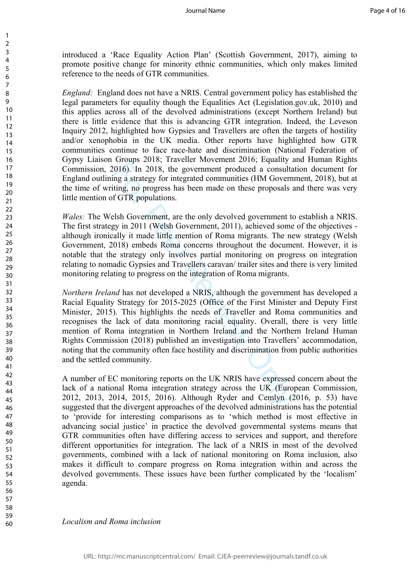introduced a 'Race Equality Action Plan' (Scottish Government, 2017), aiming to promote positive change for minority ethnic communities, which only makes limited reference to the needs of GTR communities.

 *England:* England does not have a NRIS. Central government policy has established the this applies across all of the devolved administrations (except Northern Ireland) but there is little evidence that this is advancing GTR integration. Indeed, the Leveson legal parameters for equality though the Equalities Act (Legislation.gov.uk, 2010) and Inquiry 2012, highlighted how Gypsies and Travellers are often the targets of hostility and/or xenophobia in the UK media. Other reports have highlighted how GTR communities continue to face race-hate and discrimination (National Federation of Gypsy Liaison Groups 2018; Traveller Movement 2016; Equality and Human Rights Commission, 2016). In 2018, the government produced a consultation document for England outlining a strategy for integrated communities (HM Government, 2018), but at the time of writing, no progress has been made on these proposals and there was very little mention of GTR populations.

 Government, 2018) embeds Roma concerns throughout the document. However, it is *Wales:* The Welsh Government, are the only devolved government to establish a NRIS. The first strategy in 2011 (Welsh Government, 2011), achieved some of the objectives although ironically it made little mention of Roma migrants. The new strategy (Welsh notable that the strategy only involves partial monitoring on progress on integration relating to nomadic Gypsies and Travellers caravan/ trailer sites and there is very limited monitoring relating to progress on the integration of Roma migrants.

 recognises the lack of data monitoring racial equality. Overall, there is very little Strate Theory and the government product and the divergent and the divergent formulation (1016). In 2018, the government produced a consultaing a strategy for integrated communities (HM Govern ting, no progress has been ma *Northern Ireland* has not developed a NRIS, although the government has developed a Racial Equality Strategy for 2015-2025 (Office of the First Minister and Deputy First Minister, 2015). This highlights the needs of Traveller and Roma communities and mention of Roma integration in Northern Ireland and the Northern Ireland Human Rights Commission (2018) published an investigation into Travellers' accommodation, noting that the community often face hostility and discrimination from public authorities and the settled community.

 A number of EC monitoring reports on the UK NRIS have expressed concern about the suggested that the divergent approaches of the devolved administrations has the potential lack of a national Roma integration strategy across the UK (European Commission, 2012, 2013, 2014, 2015, 2016). Although Ryder and Cemlyn (2016, p. 53) have to 'provide for interesting comparisons as to 'which method is most effective in advancing social justice' in practice the devolved governmental systems means that GTR communities often have differing access to services and support, and therefore different opportunities for integration. The lack of a NRIS in most of the devolved governments, combined with a lack of national monitoring on Roma inclusion, also makes it difficult to compare progress on Roma integration within and across the devolved governments. These issues have been further complicated by the 'localism' agenda.

*Localism and Roma inclusion*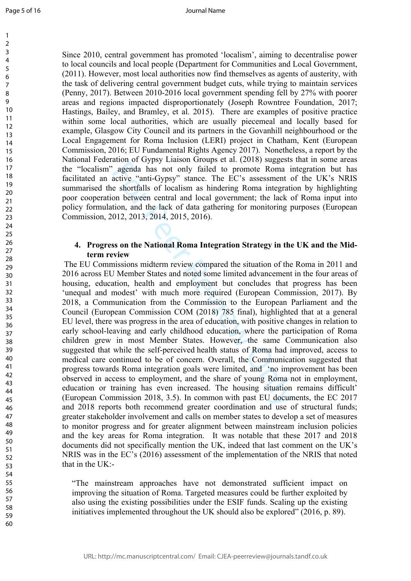to local councils and local people (Department for Communities and Local Government, the task of delivering central government budget cuts, while trying to maintain services Hastings, Bailey, and Bramley, et al. 2015). There are examples of positive practice policy formulation, and the lack of data gathering for monitoring purposes (European Since 2010, central government has promoted 'localism', aiming to decentralise power (2011). However, most local authorities now find themselves as agents of austerity, with (Penny, 2017). Between 2010-2016 local government spending fell by 27% with poorer areas and regions impacted disproportionately (Joseph Rowntree Foundation, 2017; within some local authorities, which are usually piecemeal and locally based for example, Glasgow City Council and its partners in the Govanhill neighbourhood or the Local Engagement for Roma Inclusion (LERI) project in Chatham, Kent (European Commission, 2016; EU Fundamental Rights Agency 2017). Nonetheless, a report by the National Federation of Gypsy Liaison Groups et al. (2018) suggests that in some areas the "localism" agenda has not only failed to promote Roma integration but has facilitated an active "anti-Gypsy" stance. The EC's assessment of the UK's NRIS summarised the shortfalls of localism as hindering Roma integration by highlighting poor cooperation between central and local government; the lack of Roma input into Commission, 2012, 2013, 2014, 2015, 2016).

# **4. Progress on the National Roma Integration Strategy in the UK and the Midterm review**

 Council (European Commission COM (2018) 785 final), highlighted that at a general (European Commission 2018, 3.5). In common with past EU documents, the EC 2017 NRIS was in the EC's (2016) assessment of the implementation of the NRIS that noted all and hand both and both correct transmit and the same of vertil superal has not only failed to promote Roma in<br>active "anti-Gypsy" stance. The EC's assessment of eshortfalls of localism as hindering Roma integration<br>on The EU Commissions midterm review compared the situation of the Roma in 2011 and 2016 across EU Member States and noted some limited advancement in the four areas of housing, education, health and employment but concludes that progress has been 'unequal and modest' with much more required (European Commission, 2017). By 2018, a Communication from the Commission to the European Parliament and the EU level, there was progress in the area of education, with positive changes in relation to early school-leaving and early childhood education, where the participation of Roma children grew in most Member States. However, the same Communication also suggested that while the self-perceived health status of Roma had improved, access to medical care continued to be of concern. Overall, the Communication suggested that progress towards Roma integration goals were limited, and 'no improvement has been observed in access to employment, and the share of young Roma not in employment, education or training has even increased. The housing situation remains difficult' and 2018 reports both recommend greater coordination and use of structural funds; greater stakeholder involvement and calls on member states to develop a set of measures to monitor progress and for greater alignment between mainstream inclusion policies and the key areas for Roma integration. It was notable that these 2017 and 2018 documents did not specifically mention the UK, indeed that last comment on the UK's that in the UK:-

"The mainstream approaches have not demonstrated sufficient impact on improving the situation of Roma. Targeted measures could be further exploited by also using the existing possibilities under the ESIF funds. Scaling up the existing initiatives implemented throughout the UK should also be explored" (2016, p. 89).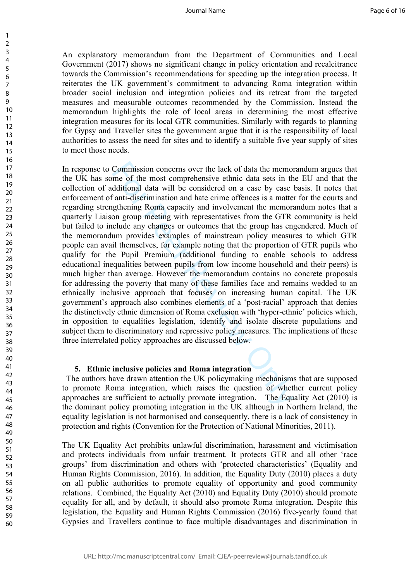integration measures for its local GTR communities. Similarly with regards to planning for Gypsy and Traveller sites the government argue that it is the responsibility of local An explanatory memorandum from the Department of Communities and Local Government (2017) shows no significant change in policy orientation and recalcitrance towards the Commission's recommendations for speeding up the integration process. It reiterates the UK government's commitment to advancing Roma integration within broader social inclusion and integration policies and its retreat from the targeted measures and measurable outcomes recommended by the Commission. Instead the memorandum highlights the role of local areas in determining the most effective authorities to assess the need for sites and to identify a suitable five year supply of sites to meet those needs.

 collection of additional data will be considered on a case by case basis. It notes that enforcement of anti-discrimination and hate crime offences is a matter for the courts and but failed to include any changes or outcomes that the group has engendered. Much of people can avail themselves, for example noting that the proportion of GTR pupils who in opposition to equalities legislation, identify and isolate discrete populations and Commission concerns over the lack of data the memome of the most comprehensive ethnic data sets in th<br>dditional data will be considered on a case by case l'anti-diserimination and hate crime offences is a mattee<br>gthening R In response to Commission concerns over the lack of data the memorandum argues that the UK has some of the most comprehensive ethnic data sets in the EU and that the regarding strengthening Roma capacity and involvement the memorandum notes that a quarterly Liaison group meeting with representatives from the GTR community is held the memorandum provides examples of mainstream policy measures to which GTR qualify for the Pupil Premium (additional funding to enable schools to address educational inequalities between pupils from low income household and their peers) is much higher than average. However the memorandum contains no concrete proposals for addressing the poverty that many of these families face and remains wedded to an ethnically inclusive approach that focuses on increasing human capital. The UK government's approach also combines elements of a 'post-racial' approach that denies the distinctively ethnic dimension of Roma exclusion with 'hyper-ethnic' policies which, subject them to discriminatory and repressive policy measures. The implications of these three interrelated policy approaches are discussed below.

#### **5. Ethnic inclusive policies and Roma integration**

 approaches are sufficient to actually promote integration. The Equality Act (2010) is The authors have drawn attention the UK policymaking mechanisms that are supposed to promote Roma integration, which raises the question of whether current policy the dominant policy promoting integration in the UK although in Northern Ireland, the equality legislation is not harmonised and consequently, there is a lack of consistency in protection and rights (Convention for the Protection of National Minorities, 2011).

The UK Equality Act prohibits unlawful discrimination, harassment and victimisation and protects individuals from unfair treatment. It protects GTR and all other 'race groups' from discrimination and others with 'protected characteristics' (Equality and Human Rights Commission, 2016). In addition, the Equality Duty (2010) places a duty on all public authorities to promote equality of opportunity and good community relations. Combined, the Equality Act (2010) and Equality Duty (2010) should promote equality for all, and by default, it should also promote Roma integration. Despite this legislation, the Equality and Human Rights Commission (2016) five-yearly found that Gypsies and Travellers continue to face multiple disadvantages and discrimination in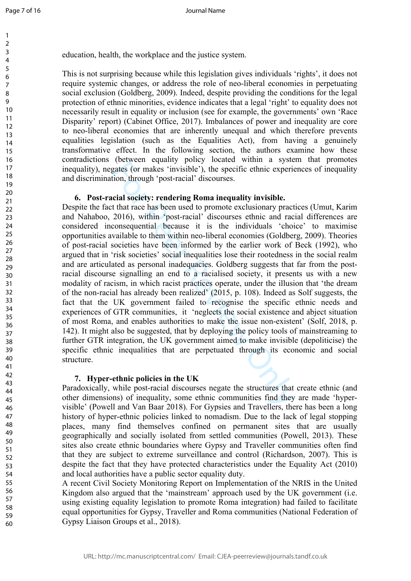education, health, the workplace and the justice system.

 Disparity' report) (Cabinet Office, 2017). Imbalances of power and inequality are core to neo-liberal economies that are inherently unequal and which therefore prevents This is not surprising because while this legislation gives individuals 'rights', it does not require systemic changes, or address the role of neo-liberal economies in perpetuating social exclusion (Goldberg, 2009). Indeed, despite providing the conditions for the legal protection of ethnic minorities, evidence indicates that a legal 'right' to equality does not necessarily result in equality or inclusion (see for example, the governments' own 'Race equalities legislation (such as the Equalities Act), from having a genuinely transformative effect. In the following section, the authors examine how these contradictions (between equality policy located within a system that promotes inequality), negates (or makes 'invisible'), the specific ethnic experiences of inequality and discrimination, through 'post-racial' discourses.

# **6. Post-racial society: rendering Roma inequality invisible.**

 and are articulated as personal inadequacies. Goldberg suggests that far from the post- modality of racism, in which racist practices operate, under the illusion that 'the dream experiences of GTR communities, it 'neglects the social existence and abject situation (or makes 'invisible'), the specific ethnic at system<br>gates (or makes 'invisible'), the specific ethnic experimention, through 'post-racial' discourses.<br>cial society: rendering Roma inequality invisible.<br>that arece has bee Despite the fact that race has been used to promote exclusionary practices (Umut, Karim and Nahaboo, 2016), within 'post-racial' discourses ethnic and racial differences are considered inconsequential because it is the individuals 'choice' to maximise opportunities available to them within neo-liberal economies (Goldberg, 2009). Theories of post-racial societies have been informed by the earlier work of Beck (1992), who argued that in 'risk societies' social inequalities lose their rootedness in the social realm racial discourse signalling an end to a racialised society, it presents us with a new of the non-racial has already been realized' (2015, p. 108). Indeed as Solf suggests, the fact that the UK government failed to recognise the specific ethnic needs and of most Roma, and enables authorities to make the issue non-existent' (Solf, 2018, p. 142). It might also be suggested, that by deploying the policy tools of mainstreaming to further GTR integration, the UK government aimed to make invisible (depoliticise) the specific ethnic inequalities that are perpetuated through its economic and social structure.

# **7. Hyper-ethnic policies in the UK**

 that they are subject to extreme surveillance and control (Richardson, 2007). This is Paradoxically, while post-racial discourses negate the structures that create ethnic (and other dimensions) of inequality, some ethnic communities find they are made 'hypervisible' (Powell and Van Baar 2018). For Gypsies and Travellers, there has been a long history of hyper-ethnic policies linked to nomadism. Due to the lack of legal stopping places, many find themselves confined on permanent sites that are usually geographically and socially isolated from settled communities (Powell, 2013). These sites also create ethnic boundaries where Gypsy and Traveller communities often find despite the fact that they have protected characteristics under the Equality Act (2010) and local authorities have a public sector equality duty.

A recent Civil Society Monitoring Report on Implementation of the NRIS in the United Kingdom also argued that the 'mainstream' approach used by the UK government (i.e. using existing equality legislation to promote Roma integration) had failed to facilitate equal opportunities for Gypsy, Traveller and Roma communities (National Federation of Gypsy Liaison Groups et al., 2018).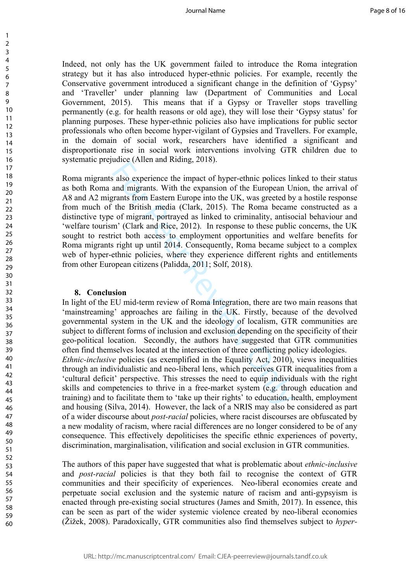#### Journal Name **Page 8 of 16**

 Conservative government introduced a significant change in the definition of 'Gypsy' in the domain of social work, researchers have identified a significant and Indeed, not only has the UK government failed to introduce the Roma integration strategy but it has also introduced hyper-ethnic policies. For example, recently the and 'Traveller' under planning law (Department of Communities and Local Government, 2015). This means that if a Gypsy or Traveller stops travelling permanently (e.g. for health reasons or old age), they will lose their 'Gypsy status' for planning purposes. These hyper-ethnic policies also have implications for public sector professionals who often become hyper-vigilant of Gypsies and Travellers. For example, disproportionate rise in social work interventions involving GTR children due to systematic prejudice (Allen and Riding, 2018).

Roma migrants also experience the impact of hyper-ethnic polices linked to their status as both Roma and migrants. With the expansion of the European Union, the arrival of A8 and A2 migrants from Eastern Europe into the UK, was greeted by a hostile response from much of the British media (Clark, 2015). The Roma became constructed as a distinctive type of migrant, portrayed as linked to criminality, antisocial behaviour and 'welfare tourism' (Clark and Rice, 2012). In response to these public concerns, the UK sought to restrict both access to employment opportunities and welfare benefits for Roma migrants right up until 2014. Consequently, Roma became subject to a complex web of hyper-ethnic policies, where they experience different rights and entitlements from other European citizens (Palidda, 2011; Solf, 2018).

#### **8. Conclusion**

 of a wider discourse about *post-racial* policies, where racist discourses are obfuscated by also experience the impact of hyper-ethnic polices lined migrants. With the expansion of the European Ultrants from Eastern Europe into the UK, was greeted by the British media (Clark, 2015). The Roma became to differ the In light of the EU mid-term review of Roma Integration, there are two main reasons that 'mainstreaming' approaches are failing in the UK. Firstly, because of the devolved governmental system in the UK and the ideology of localism, GTR communities are subject to different forms of inclusion and exclusion depending on the specificity of their geo-political location. Secondly, the authors have suggested that GTR communities often find themselves located at the intersection of three conflicting policy ideologies. *Ethnic-inclusive* policies (as exemplified in the Equality Act, 2010), views inequalities through an individualistic and neo-liberal lens, which perceives GTR inequalities from a 'cultural deficit' perspective. This stresses the need to equip individuals with the right skills and competencies to thrive in a free-market system (e.g. through education and training) and to facilitate them to 'take up their rights' to education, health, employment and housing (Silva, 2014). However, the lack of a NRIS may also be considered as part a new modality of racism, where racial differences are no longer considered to be of any consequence. This effectively depoliticises the specific ethnic experiences of poverty, discrimination, marginalisation, vilification and social exclusion in GTR communities.

 The authors of this paper have suggested that what is problematic about *ethnic-inclusive*  and *post-racial* policies is that they both fail to recognise the context of GTR communities and their specificity of experiences. Neo-liberal economies create and perpetuate social exclusion and the systemic nature of racism and anti-gypsyism is enacted through pre-existing social structures (James and Smith, 2017). In essence, this can be seen as part of the wider systemic violence created by neo-liberal economies (Žižek, 2008). Paradoxically, GTR communities also find themselves subject to *hyper-*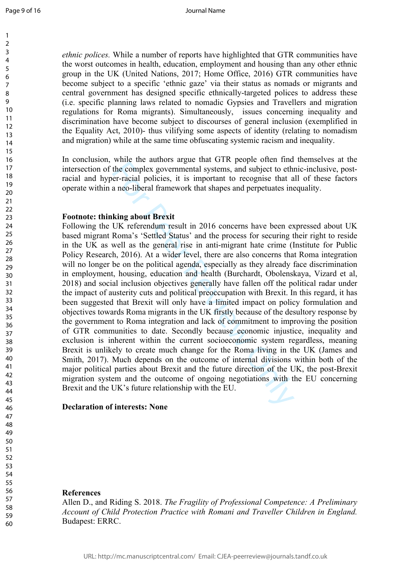(i.e. specific planning laws related to nomadic Gypsies and Travellers and migration *ethnic polices.* While a number of reports have highlighted that GTR communities have the worst outcomes in health, education, employment and housing than any other ethnic group in the UK (United Nations, 2017; Home Office, 2016) GTR communities have become subject to a specific 'ethnic gaze' via their status as nomads or migrants and central government has designed specific ethnically-targeted polices to address these regulations for Roma migrants). Simultaneously, issues concerning inequality and discrimination have become subject to discourses of general inclusion (exemplified in the Equality Act, 2010)- thus vilifying some aspects of identity (relating to nomadism and migration) while at the same time obfuscating systemic racism and inequality.

 In conclusion, while the authors argue that GTR people often find themselves at the intersection of the complex governmental systems, and subject to ethnic-inclusive, postracial and hyper-racial policies, it is important to recognise that all of these factors operate within a neo-liberal framework that shapes and perpetuates inequality.

#### **Footnote: thinking about Brexit**

 Following the UK referendum result in 2016 concerns have been expressed about UK based migrant Roma's 'Settled Status' and the process for securing their right to reside will no longer be on the political agenda, especially as they already face discrimination in employment, housing, education and health (Burchardt, Obolenskaya, Vizard et al, been suggested that Brexit will only have a limited impact on policy formulation and Smith, 2017). Much depends on the outcome of internal divisions within both of the major political parties about Brexit and the future direction of the UK, the post-Brexit where unductional digital time that is the proportion and the complex governmental systems, and subject to eth<br>er-racial policies, it is important to recognise that a neo-liberal framework that shapes and perpetuates ine<br> in the UK as well as the general rise in anti-migrant hate crime (Institute for Public Policy Research, 2016). At a wider level, there are also concerns that Roma integration 2018) and social inclusion objectives generally have fallen off the political radar under the impact of austerity cuts and political preoccupation with Brexit. In this regard, it has objectives towards Roma migrants in the UK firstly because of the desultory response by the government to Roma integration and lack of commitment to improving the position of GTR communities to date. Secondly because economic injustice, inequality and exclusion is inherent within the current socioeconomic system regardless, meaning Brexit is unlikely to create much change for the Roma living in the UK (James and migration system and the outcome of ongoing negotiations with the EU concerning Brexit and the UK's future relationship with the EU.

#### **Declaration of interests: None**

## **References**

Allen D., and Riding S. 2018. *The Fragility of Professional Competence: A Preliminary Account of Child Protection Practice with Romani and Traveller Children in England.*  Budapest: ERRC.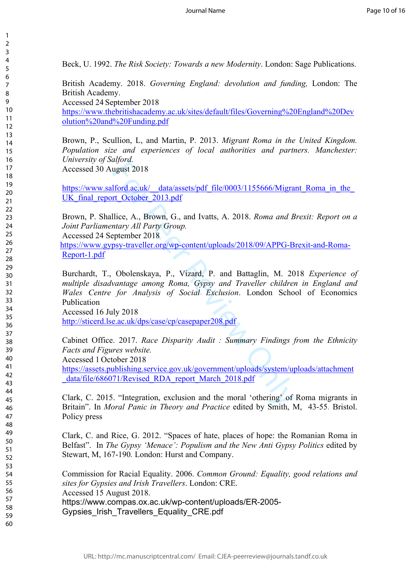Beck, U. 1992. *The Risk Society: Towards a new Modernity*. London: Sage Publications.

British Academy. 2018. *Governing England: devolution and funding,* London: The British Academy. Accessed 24 September 2018

[https://www.thebritishacademy.ac.uk/sites/default/files/Governing%20England%20Dev](https://www.thebritishacademy.ac.uk/sites/default/files/Governing%20England%20Devolution%20and%20Funding.pdf)  [olution%20and%20Funding.pdf](https://www.thebritishacademy.ac.uk/sites/default/files/Governing%20England%20Devolution%20and%20Funding.pdf)

 *Population size and experiences of local authorities and partners. Manchester:*  Brown, P., Scullion, L, and Martin, P. 2013. *Migrant Roma in the United Kingdom. University of Salford.*  Accessed 30 August 2018

https://www.salford.ac.uk/\_\_data/assets/pdf\_file/0003/1155666/Migrant\_Roma\_in\_the UK final report October 2013.pdf

Brown, P. Shallice, A., Brown, G., and Ivatts, A. 2018. *Roma and Brexit: Report on a Joint Parliamentary All Party Group.*  Accessed 24 September 2018

[https://www.gypsy-traveller.org/wp-content/uploads/2018/09/APPG-Brexit-and-Roma-](https://www.gypsy-traveller.org/wp-content/uploads/2018/09/APPG-Brexit-and-Roma-Report-1.pdf)[Report-1.pdf](https://www.gypsy-traveller.org/wp-content/uploads/2018/09/APPG-Brexit-and-Roma-Report-1.pdf) 

Solution: *Solutional Englisonal Englisonal Broad Partic Cotober 2013.pdf*<br> *Hord.ac.uk/ data/assets/pdf file/0003/1155666/Migra*<br> *Hice, A., Brown, G., and Ivatts, A. 2018. Roma and Entary All Party Group.*<br> *Peer Review* Burchardt, T., Obolenskaya, P., Vizard, P. and Battaglin, M. 2018 *Experience of multiple disadvantage among Roma, Gypsy and Traveller children in England and Wales Centre for Analysis of Social Exclusion*. London School of Economics Publication Accessed 16 July 2018

<http://sticerd.lse.ac.uk/dps/case/cp/casepaper208.pdf>

Cabinet Office. 2017. *Race Disparity Audit : Summary Findings from the Ethnicity Facts and Figures website.* 

Accessed 1 October 2018

[https://assets.publishing.service.gov.uk/government/uploads/system/uploads/attachment](https://assets.publishing.service.gov.uk/government/uploads/system/uploads/attachment_data/file/686071/Revised_RDA_report_March_2018.pdf)  [\\_data/file/686071/Revised\\_RDA\\_report\\_March\\_2018.pdf](https://assets.publishing.service.gov.uk/government/uploads/system/uploads/attachment_data/file/686071/Revised_RDA_report_March_2018.pdf) 

Clark, C. 2015. "Integration, exclusion and the moral 'othering' of Roma migrants in Britain". In *Moral Panic in Theory and Practice* edited by Smith, M, 43-55. Bristol. Policy press

 Clark, C. and Rice, G. 2012. "Spaces of hate, places of hope: the Romanian Roma in Belfast". In *The Gypsy 'Menace': Populism and the New Anti Gypsy Politics* edited by Stewart, M, 167-190*.* London: Hurst and Company.

 [Gypsies\\_Irish\\_Travellers\\_Equality\\_CRE.pdf](https://www.compas.ox.ac.uk/wp-content/uploads/ER-2005-Gypsies_Irish_Travellers_Equality_CRE.pdf) Commission for Racial Equality. 2006. *Common Ground: Equality, good relations and sites for Gypsies and Irish Travellers*. London: CRE. Accessed 15 August 2018. [https://www.compas.ox.ac.uk/wp-content/uploads/ER-2005-](https://www.compas.ox.ac.uk/wp-content/uploads/ER-2005-Gypsies_Irish_Travellers_Equality_CRE.pdf)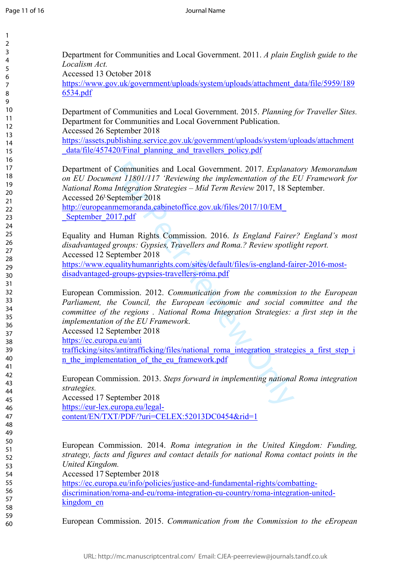| $\overline{c}$ |                                                                                             |
|----------------|---------------------------------------------------------------------------------------------|
| 3              | Department for Communities and Local Government. 2011. A plain English guide to the         |
| 4              | Localism Act.                                                                               |
| 5              | Accessed 13 October 2018                                                                    |
| 6              |                                                                                             |
| 7              | https://www.gov.uk/government/uploads/system/uploads/attachment_data/file/5959/189          |
| 8              | 6534.pdf                                                                                    |
| 9              |                                                                                             |
| 10             | Department of Communities and Local Government. 2015. Planning for Traveller Sites.         |
| 11             | Department for Communities and Local Government Publication.                                |
| 12             | Accessed 26 September 2018                                                                  |
| 13<br>14       | https://assets.publishing.service.gov.uk/government/uploads/system/uploads/attachment       |
| 15             | data/file/457420/Final planning and travellers policy.pdf                                   |
| 16             |                                                                                             |
| 17             |                                                                                             |
| 18             | Department of Communities and Local Government. 2017. Explanatory Memorandum                |
| 19             | on EU Document 11801/117 'Reviewing the implementation of the EU Framework for              |
| 20             | National Roma Integration Strategies - Mid Term Review 2017, 18 September.                  |
| 21             | Accessed 26 <sup>t</sup> September 2018                                                     |
| 22             | http://europeanmemoranda.cabinetoffice.gov.uk/files/2017/10/EM                              |
| 23             | September 2017.pdf                                                                          |
| 24             |                                                                                             |
| 25             | Equality and Human Rights Commission. 2016. Is England Fairer? England's most               |
| 26             | disadvantaged groups: Gypsies, Travellers and Roma.? Review spotlight report.               |
| 27             |                                                                                             |
| 28             | Accessed 12 September 2018                                                                  |
| 29             | https://www.equalityhumanrights.com/sites/default/files/is-england-fairer-2016-most-        |
| 30             | disadvantaged-groups-gypsies-travellers-roma.pdf                                            |
| 31             |                                                                                             |
| 32             | European Commission. 2012. Communication from the commission to the European                |
| 33             | Parliament, the Council, the European economic and social committee and the                 |
| 34             | committee of the regions. National Roma Integration Strategies: a first step in the         |
| 35             | implementation of the EU Framework.                                                         |
| 36             | Accessed 12 September 2018                                                                  |
| 37             | https://ec.europa.eu/anti                                                                   |
| 38<br>39       | trafficking/sites/antitrafficking/files/national_roma_integration_strategies_a_first_step_i |
|                |                                                                                             |
| 40<br>41       | in the implementation of the eu framework.pdf                                               |
| 42             |                                                                                             |
| 43             | European Commission. 2013. Steps forward in implementing national Roma integration          |
| 44             | strategies.                                                                                 |
| 45             | Accessed 17 September 2018                                                                  |
| 46             | https://eur-lex.europa.eu/legal-                                                            |
| 47             | content/EN/TXT/PDF/?uri=CELEX:52013DC0454&rid=1                                             |
| 48             |                                                                                             |
| 49             |                                                                                             |
| 50             |                                                                                             |
| 51             | European Commission. 2014. Roma integration in the United Kingdom: Funding,                 |
| 52             | strategy, facts and figures and contact details for national Roma contact points in the     |
| 53             | United Kingdom.                                                                             |
| 54             | Accessed 17 September 2018                                                                  |
| 55             | https://ec.europa.eu/info/policies/justice-and-fundamental-rights/combatting-               |
| 56             | discrimination/roma-and-eu/roma-integration-eu-country/roma-integration-united-             |
| 57             | kingdom en                                                                                  |
| 58             |                                                                                             |
| 59             | European Commission. 2015. Communication from the Commission to the eEropean                |
| 60             |                                                                                             |
|                |                                                                                             |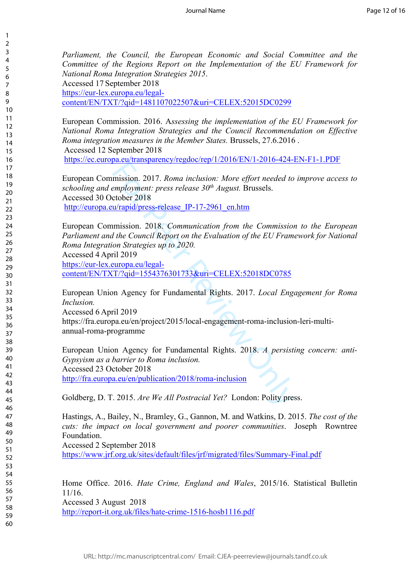*Committee of the Regions Report on the Implementation of the EU Framework for*  content/EN/TXT/?gid=1481107022507&uri=CELEX:52015DC0299  *cuts: the impact on local government and poorer communities*. Joseph Rowntree mission. 2017. Roma inclusion: More effort needed to<br>mployment: press release 30<sup>th</sup> August. Brussels.<br>ctober 2018<br>whenidyness-release IP-17-2961 en.htm<br>mission. 2018. Communication from the Commission<br>the Council Report o *Parliament, the Council, the European Economic and Social Committee and the National Roma Integration Strategies 2015*. Accessed 17 September 2018 [https://eur-lex.europa.eu/legal-](https://eur-lex.europa.eu/legal-content/EN/TXT/?qid=1481107022507&uri=CELEX:52015DC0299)European Commission. 2016. Assessing the implementation of the EU Framework for *National Roma Integration Strategies and the Council Recommendation on Effective Roma integration measures in the Member States.* Brussels, 27.6.2016 . Accessed 12 September 2018 <https://ec.europa.eu/transparency/regdoc/rep/1/2016/EN/1-2016-424-EN-F1-1.PDF> European Commission. 2017. *Roma inclusion: More effort needed to improve access to schooling and employment: press release 30th August.* Brussels. Accessed 30 October 2018 [http://europa.eu/rapid/press-release\\_IP-17-2961\\_en.htm](http://europa.eu/rapid/press-release_IP-17-2961_en.htm)  European Commission. 2018. *Communication from the Commission to the European Parliament and the Council Report on the Evaluation of the EU Framework for National Roma Integration Strategies up to 2020.*  Accessed 4 April 2019 [https://eur-lex.europa.eu/legal](https://eur-lex.europa.eu/legal-content/EN/TXT/?qid=1554376301733&uri=CELEX:52018DC0785)[content/EN/TXT/?qid=1554376301733&uri=CELEX:52018DC0785](https://eur-lex.europa.eu/legal-content/EN/TXT/?qid=1554376301733&uri=CELEX:52018DC0785) European Union Agency for Fundamental Rights. 2017. *Local Engagement for Roma Inclusion.*  Accessed 6 April 2019 [https://fra.europa.eu/en/project/2015/local-engagement-roma-inclusion-leri-multi](https://fra.europa.eu/en/project/2015/local-engagement-roma-inclusion-leri-multi-annual-roma-programme)[annual-roma-programme](https://fra.europa.eu/en/project/2015/local-engagement-roma-inclusion-leri-multi-annual-roma-programme)  European Union Agency for Fundamental Rights. 2018. *A persisting concern: anti-Gypsyism as a barrier to Roma inclusion.*  Accessed 23 October 2018 <http://fra.europa.eu/en/publication/2018/roma-inclusion> Goldberg, D. T. 2015. *Are We All Postracial Yet?* London: Polity press. Hastings, A., Bailey, N., Bramley, G., Gannon, M. and Watkins, D. 2015. *The cost of the*  Foundation. Accessed 2 September 2018 <https://www.jrf.org.uk/sites/default/files/jrf/migrated/files/Summary-Final.pdf> Home Office. 2016. *Hate Crime, England and Wales*, 2015/16. Statistical Bulletin 11/16. Accessed 3 August 2018 <http://report-it.org.uk/files/hate-crime-1516-hosb1116.pdf>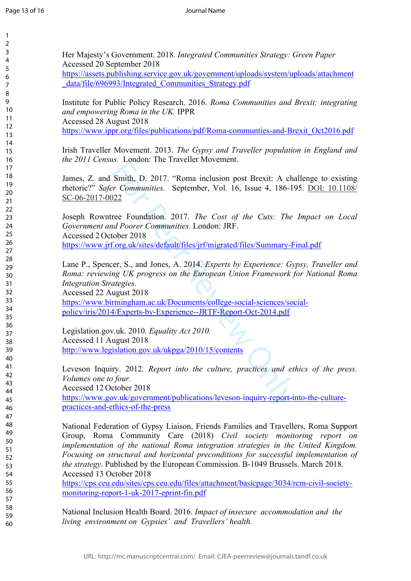$\mathbf{1}$  $\overline{2}$  $\overline{3}$  $\overline{4}$ 5 6  $\overline{7}$ 8  $\overline{9}$ 

| Her Majesty's Government. 2018. Integrated Communities Strategy: Green Paper<br>Accessed 20 September 2018<br>https://assets.publishing.service.gov.uk/government/uploads/system/uploads/attachment<br>data/file/696993/Integrated Communities Strategy.pdf                                                                                                                                                                                                                                                                                                                                        |
|----------------------------------------------------------------------------------------------------------------------------------------------------------------------------------------------------------------------------------------------------------------------------------------------------------------------------------------------------------------------------------------------------------------------------------------------------------------------------------------------------------------------------------------------------------------------------------------------------|
| Institute for Public Policy Research. 2016. Roma Communities and Brexit: integrating<br>and empowering Roma in the UK. IPPR                                                                                                                                                                                                                                                                                                                                                                                                                                                                        |
| Accessed 28 August 2018<br>https://www.ippr.org/files/publications/pdf/Roma-communties-and-Brexit Oct2016.pdf                                                                                                                                                                                                                                                                                                                                                                                                                                                                                      |
| Irish Traveller Movement. 2013. The Gypsy and Traveller population in England and<br>the 2011 Census. London: The Traveller Movement.                                                                                                                                                                                                                                                                                                                                                                                                                                                              |
| James, Z. and Smith, D. 2017. "Roma inclusion post Brexit: A challenge to existing<br>rhetoric?" Safer Communities. September, Vol. 16, Issue 4, 186-195. DOI: 10.1108/<br>SC-06-2017-0022                                                                                                                                                                                                                                                                                                                                                                                                         |
| Joseph Rowntree Foundation. 2017. The Cost of the Cuts: The Impact on Local<br>Government and Poorer Communities. London: JRF.<br>Accessed 2 October 2018                                                                                                                                                                                                                                                                                                                                                                                                                                          |
| https://www.jrf.org.uk/sites/default/files/jrf/migrated/files/Summary-Final.pdf                                                                                                                                                                                                                                                                                                                                                                                                                                                                                                                    |
| Lane P., Spencer, S., and Jones, A. 2014. Experts by Experience: Gypsy, Traveller and<br>Roma: reviewing UK progress on the European Union Framework for National Roma<br><b>Integration Strategies.</b><br>Accessed 22 August 2018<br>https://www.birmingham.ac.uk/Documents/college-social-sciences/social-<br>policy/iris/2014/Experts-by-Experience--JRTF-Report-Oct-2014.pdf                                                                                                                                                                                                                  |
| Legislation.gov.uk. 2010. Equality Act 2010.<br>Accessed 11 August 2018                                                                                                                                                                                                                                                                                                                                                                                                                                                                                                                            |
| http://www.legislation.gov.uk/ukpga/2010/15/contents                                                                                                                                                                                                                                                                                                                                                                                                                                                                                                                                               |
| Leveson Inquiry. 2012. Report into the culture, practices and ethics of the press.<br>Volumes one to four.                                                                                                                                                                                                                                                                                                                                                                                                                                                                                         |
| Accessed 12 October 2018                                                                                                                                                                                                                                                                                                                                                                                                                                                                                                                                                                           |
| https://www.gov.uk/government/publications/leveson-inquiry-report-into-the-culture-<br>practices-and-ethics-of-the-press                                                                                                                                                                                                                                                                                                                                                                                                                                                                           |
| National Federation of Gypsy Liaison, Friends Families and Travellers, Roma Support<br>Group, Roma Community Care (2018) Civil society monitoring report on<br>implementation of the national Roma integration strategies in the United Kingdom.<br>Focusing on structural and horizontal preconditions for successful implementation of<br>the strategy. Published by the European Commission. B-1049 Brussels. March 2018.<br>Accessed 13 October 2018<br>https://cps.ceu.edu/sites/cps.ceu.edu/files/attachment/basicpage/3034/rcm-civil-society-<br>monitoring-report-1-uk-2017-eprint-fin.pdf |
| National Inclusion Health Board. 2016. Impact of insecure accommodation and the<br>living environment on Gypsies' and Travellers' health.                                                                                                                                                                                                                                                                                                                                                                                                                                                          |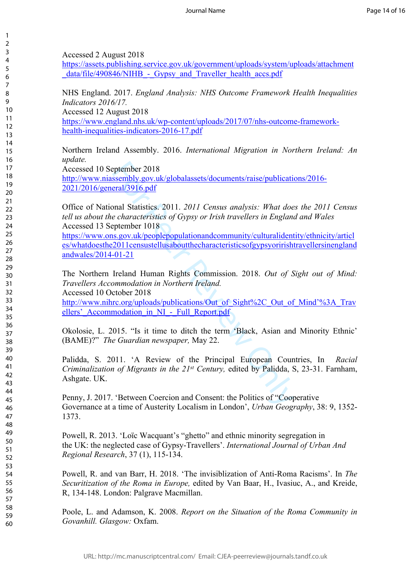| Accessed 2 August 2018 |
|------------------------|
|------------------------|

[https://assets.publishing.service.gov.uk/government/uploads/system/uploads/attachment](https://assets.publishing.service.gov.uk/government/uploads/system/uploads/attachment_data/file/490846/NIHB_-_Gypsy_and_Traveller_health_accs.pdf)  data/file/490846/NIHB - Gypsy and Traveller health accs.pdf

NHS England. 2017. *England Analysis: NHS Outcome Framework Health Inequalities Indicators 2016/17.* 

Accessed 12 August 2018

[https://www.england.nhs.uk/wp-content/uploads/2017/07/nhs-outcome-framework](https://www.england.nhs.uk/wp-content/uploads/2017/07/nhs-outcome-framework-health-inequalities-indicators-2016-17.pdf)[health-inequalities-indicators-2016-17.pdf](https://www.england.nhs.uk/wp-content/uploads/2017/07/nhs-outcome-framework-health-inequalities-indicators-2016-17.pdf) 

Northern Ireland Assembly. 2016. *International Migration in Northern Ireland: An update.* 

Accessed 10 September 2018 [http://www.niassembly.gov.uk/globalassets/documents/raise/publications/2016-](http://www.niassembly.gov.uk/globalassets/documents/raise/publications/2016-2021/2016/general/3916.pdf) [2021/2016/general/3916.pdf](http://www.niassembly.gov.uk/globalassets/documents/raise/publications/2016-2021/2016/general/3916.pdf)

Office of National Statistics. 2011. *2011 Census analysis: What does the 2011 Census tell us about the characteristics of Gypsy or Irish travellers in England and Wales*  Accessed 13 September 1018

eptember 2018<br>
<u>ssembly.gov.uk/globalassets/documents/raise/publicational Statistics.</u><br>
2011. 2011 Census analysis: What doe<br>
e characteristics of Gypsy or Irish travellers in England<br>
eptember 1018<br>
<u>s.gov.uk/peoplepopula</u> [https://www.ons.gov.uk/peoplepopulationandcommunity/culturalidentity/ethnicity/articl](https://www.ons.gov.uk/peoplepopulationandcommunity/culturalidentity/ethnicity/articles/whatdoesthe2011censustellusaboutthecharacteristicsofgypsyoririshtravellersinenglandandwales/2014-01-21)  [es/whatdoesthe2011censustellusaboutthecharacteristicsofgypsyoririshtravellersinengland](https://www.ons.gov.uk/peoplepopulationandcommunity/culturalidentity/ethnicity/articles/whatdoesthe2011censustellusaboutthecharacteristicsofgypsyoririshtravellersinenglandandwales/2014-01-21) [andwales/2014-01-21](https://www.ons.gov.uk/peoplepopulationandcommunity/culturalidentity/ethnicity/articles/whatdoesthe2011censustellusaboutthecharacteristicsofgypsyoririshtravellersinenglandandwales/2014-01-21) 

The Northern Ireland Human Rights Commission. 2018. *Out of Sight out of Mind: Travellers Accommodation in Northern Ireland.*  Accessed 10 October 2018

http://www.nihrc.org/uploads/publications/Out\_of\_Sight%2C\_Out\_of\_Mind'%3A\_Trav ellers' Accommodation in NI - Full Report.pdf

 Okolosie, L. 2015. "Is it time to ditch the term 'Black, Asian and Minority Ethnic' (BAME)?" *The Guardian newspaper,* May 22.

 *Criminalization of Migrants in the 21st Century,* edited by Palidda, S, 23-31. Farnham, Palidda, S. 2011. 'A Review of the Principal European Countries, In *Racial*  Ashgate. UK.

Penny, J. 2017. 'Between Coercion and Consent: the Politics of "Cooperative Governance at a time of Austerity Localism in London', *Urban Geography*, 38: 9, 1352- 1373.

Powell, R. 2013. 'Loїc Wacquant's "ghetto" and ethnic minority segregation in the UK: the neglected case of Gypsy-Travellers'. *International Journal of Urban And Regional Research*, 37 (1), 115-134.

Powell, R. and van Barr, H. 2018. 'The invisiblization of Anti-Roma Racisms'. In *The Securitization of the Roma in Europe,* edited by Van Baar, H., Ivasiuc, A., and Kreide, R, 134-148. London: Palgrave Macmillan.

Poole, L. and Adamson, K. 2008. *Report on the Situation of the Roma Community in Govanhill. Glasgow:* Oxfam.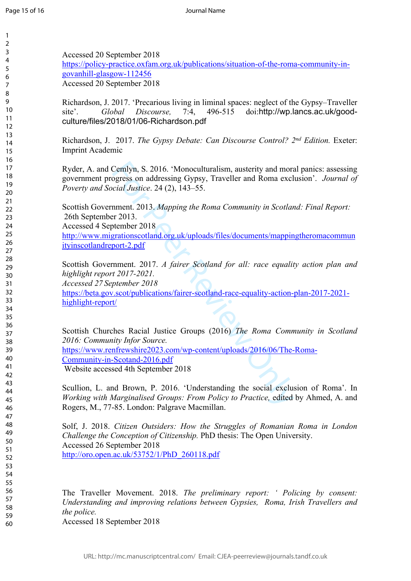| 2               |  |
|-----------------|--|
| 3               |  |
| 4               |  |
| 5               |  |
| 6               |  |
| $\frac{1}{2}$   |  |
|                 |  |
| 8               |  |
| 9               |  |
| 10              |  |
|                 |  |
| 1<br>1          |  |
| 1<br>2          |  |
| 13<br>14        |  |
|                 |  |
| 15              |  |
|                 |  |
| 16              |  |
| $\frac{1}{2}$   |  |
| 18              |  |
| 19              |  |
| $\overline{20}$ |  |
|                 |  |
| $\overline{21}$ |  |
| $\overline{22}$ |  |
| 23              |  |
| 24              |  |
| 25              |  |
|                 |  |
| 26              |  |
| $\overline{27}$ |  |
| 28              |  |
| 29              |  |
|                 |  |
| 30              |  |
| 31              |  |
| 32              |  |
| 33              |  |
|                 |  |
| 34              |  |
| 35              |  |
| 36              |  |
| 37              |  |
| 38              |  |
|                 |  |
| 39              |  |
| 40              |  |
| 41              |  |
| 42              |  |
|                 |  |
| 43              |  |
| 44              |  |
| 45              |  |
| 46              |  |
| 47              |  |
|                 |  |
| 48              |  |
| 49              |  |
| 50              |  |
| 51              |  |
| 52              |  |
|                 |  |
| 53              |  |
| 54              |  |
| 55              |  |
| 56              |  |
|                 |  |
| 57              |  |
| 58              |  |
| 59              |  |
| 60              |  |
|                 |  |

Accessed 20 September 2018 [https://policy-practice.oxfam.org.uk/publications/situation-of-the-roma-community-in](https://policy-practice.oxfam.org.uk/publications/situation-of-the-roma-community-in-govanhill-glasgow-112456)[govanhill-glasgow-112456](https://policy-practice.oxfam.org.uk/publications/situation-of-the-roma-community-in-govanhill-glasgow-112456) Accessed 20 September 2018

 [culture/files/2018/01/06-Richardson.pdf](http://wp.lancs.ac.uk/good-culture/files/2018/01/06-Richardson.pdf) Richardson, J. 2017. 'Precarious living in liminal spaces: neglect of the Gypsy–Traveller site'. Global Discourse, 7:4, 496-515 doi:http://wp.lancs.ac.uk/qoodsite'. *Global Discourse,* 7:4, 496-515 doi:[http://wp.lancs.ac.uk/good-](http://wp.lancs.ac.uk/good-culture/files/2018/01/06-Richardson.pdf)

Richardson, J. 2017. *The Gypsy Debate: Can Discourse Control?* 2<sup>nd</sup> Edition. Exeter: Imprint Academic

 government progress on addressing Gypsy, Traveller and Roma exclusion'. *Journal of*  Ryder, A. and Cemlyn, S. 2016. 'Monoculturalism, austerity and moral panics: assessing *Poverty and Social Justice*. 24 (2), 143–55.

Scottish Government. 2013. *Mapping the Roma Community in Scotland: Final Report:* 26th September 2013.

Accessed 4 September 2018

[http://www.migrationscotland.org.uk/uploads/files/documents/mappingtheromacommun](http://www.migrationscotland.org.uk/uploads/files/documents/mappingtheromacommunityinscotlandreport-2.pdf)  [ityinscotlandreport-2.pdf](http://www.migrationscotland.org.uk/uploads/files/documents/mappingtheromacommunityinscotlandreport-2.pdf) 

Scottish Government. 2017. *A fairer Scotland for all: race equality action plan and highlight report 2017-2021. Accessed 27 September 2018* 

[https://beta.gov.scot/publications/fairer-scotland-race-equality-action-plan-2017-2021](https://beta.gov.scot/publications/fairer-scotland-race-equality-action-plan-2017-2021-highlight-report/) [highlight-report/](https://beta.gov.scot/publications/fairer-scotland-race-equality-action-plan-2017-2021-highlight-report/)

Cemlyn, S. 2016. 'Monoculturalism, austerity and moragress on addressing Gypsy, Traveller and Roma excl<br>cial Justice. 24 (2), 143–55.<br>nment. 2013. *Mapping the Roma Community in Scotlar*<br>r 2013.<br>The Peer Review Only and Co Scottish Churches Racial Justice Groups (2016) *The Roma Community in Scotland 2016: Community Infor Source.*  [https://www.renfrewshire2023.com/wp-content/uploads/2016/06/The-Roma-](https://www.renfrewshire2023.com/wp-content/uploads/2016/06/The-Roma-Community-in-Scotand-2016.pdf)[Community-in-Scotand-2016.pdf](https://www.renfrewshire2023.com/wp-content/uploads/2016/06/The-Roma-Community-in-Scotand-2016.pdf)

Website accessed 4th September 2018

 Scullion, L. and Brown, P. 2016. 'Understanding the social exclusion of Roma'. In *Working with Marginalised Groups: From Policy to Practice,* edited by Ahmed, A. and Rogers, M., 77-85. London: Palgrave Macmillan.

Solf, J. 2018. *Citizen Outsiders: How the Struggles of Romanian Roma in London Challenge the Conception of Citizenship.* PhD thesis: The Open University. Accessed 26 September 2018 [http://oro.open.ac.uk/53752/1/PhD\\_260118.pdf](http://oro.open.ac.uk/53752/1/PhD_260118.pdf) 

Understanding and improving relations between Gypsies, Roma, Irish Travellers and The Traveller Movement. 2018. *The preliminary report: ' Policing by consent: the police.*  Accessed 18 September 2018